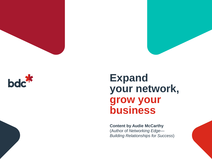



## **Expand your network, grow your business**

**Content by Audie McCarthy** (Author of *Networking Edge*— *Building Relationships for Success*)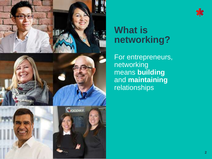

## \*

## **What is networking?**

For entrepreneurs, networking means **building**  and **maintaining**  relationships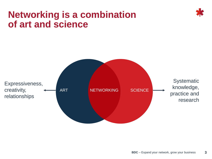## **Networking is a combination of art and science**



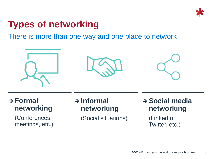

## **Types of networking**

There is more than one way and one place to network



#### **Formal networking**

(Conferences, meetings, etc.)

#### **Informal networking**

(Social situations)

 **Social media networking**

> (LinkedIn, Twitter, etc.)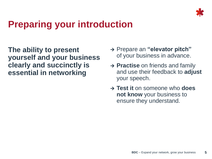

## **Preparing your introduction**

**The ability to present yourself and your business clearly and succinctly is essential in networking**

- → Prepare an "elevator pitch" of your business in advance.
- **→ Practise** on friends and family and use their feedback to **adjust** your speech.
- **Test it** on someone who **does not know** your business to ensure they understand.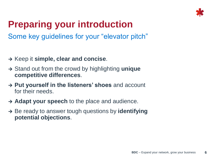

## **Preparing your introduction**

Some key guidelines for your "elevator pitch"

- **→ Keep it simple, clear and concise.**
- Stand out from the crowd by highlighting **unique competitive differences**.
- **Put yourself in the listeners' shoes** and account for their needs.
- **Adapt your speech** to the place and audience.
- → Be ready to answer tough questions by **identifying potential objections**.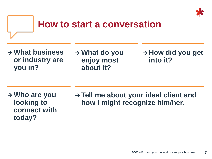

#### **How to start a conversation**

- **What business or industry are you in?**
- **What do you enjoy most about it?**

**→ How did you get into it?**

- **Who are you looking to connect with today?**
- **Tell me about your ideal client and how I might recognize him/her.**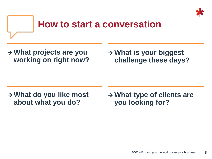

#### **How to start a conversation**

 **What projects are you working on right now?**  **What is your biggest challenge these days?**

 **What do you like most about what you do?**

 **What type of clients are you looking for?**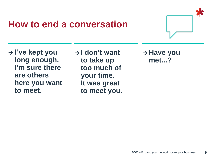### **How to end a conversation**



**→ I've kept you long enough. I'm sure there are others here you want to meet.**

**→ I don't want to take up too much of your time. It was great to meet you.**

**→ Have you met...?**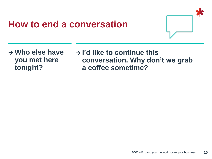## **How to end a conversation**



- **Who else have you met here tonight?**
- **I'd like to continue this conversation. Why don't we grab a coffee sometime?**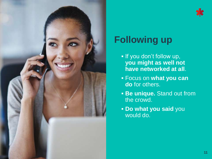

# **Following up**

- **If you don't follow up, you might as well not have networked at all**.
- Focus on **what you can do** for others.
- **Be unique.** Stand out from the crowd.
- **Do what you said** you would do.